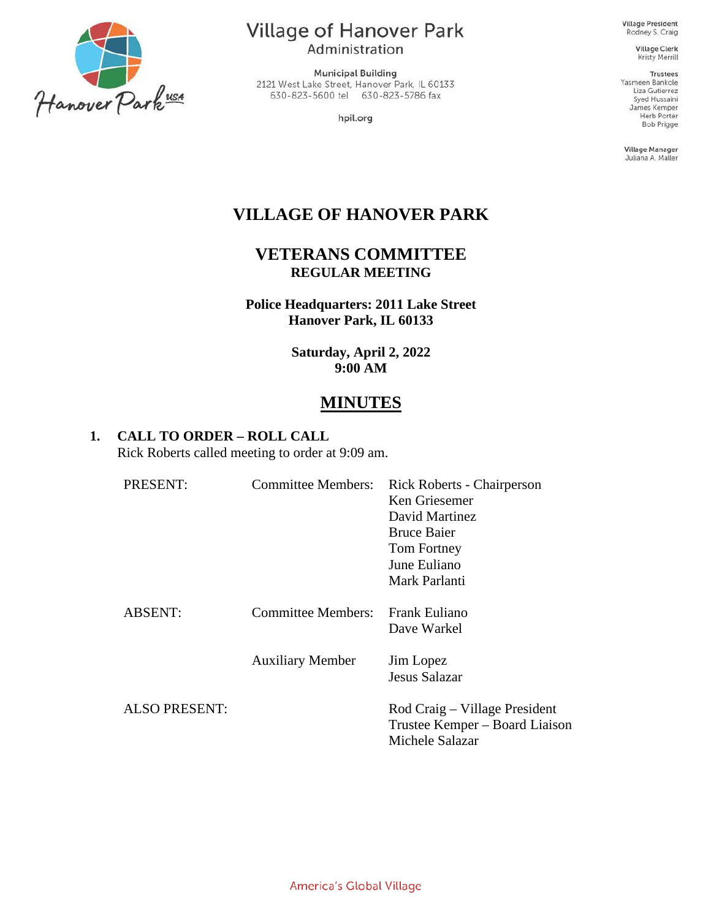

Village of Hanover Park Administration

**Municipal Building** 2121 West Lake Street, Hanover Park, IL 60133 630-823-5600 tel 630-823-5786 fax

hpil.org

**Village President** Rodney S. Craig

> Village Clerk Kristy Merrill

**Trustees** Yasmeen Bankole Liza Gutierrez Syed Hussaini James Kemper Herb Porter Bob Prigge

Village Manager Juliana A. Maller

# **VILLAGE OF HANOVER PARK**

### **VETERANS COMMITTEE REGULAR MEETING**

**Police Headquarters: 2011 Lake Street Hanover Park, IL 60133**

> **Saturday, April 2, 2022 9:00 AM**

# **MINUTES**

### **1. CALL TO ORDER – ROLL CALL**

Rick Roberts called meeting to order at 9:09 am.

| PRESENT:             | <b>Committee Members:</b> | Rick Roberts - Chairperson<br>Ken Griesemer<br>David Martinez<br><b>Bruce Baier</b><br>Tom Fortney<br>June Euliano<br>Mark Parlanti |
|----------------------|---------------------------|-------------------------------------------------------------------------------------------------------------------------------------|
| <b>ABSENT:</b>       | Committee Members:        | <b>Frank Euliano</b><br>Dave Warkel                                                                                                 |
|                      | <b>Auxiliary Member</b>   | Jim Lopez<br>Jesus Salazar                                                                                                          |
| <b>ALSO PRESENT:</b> |                           | Rod Craig – Village President<br>Trustee Kemper – Board Liaison<br>Michele Salazar                                                  |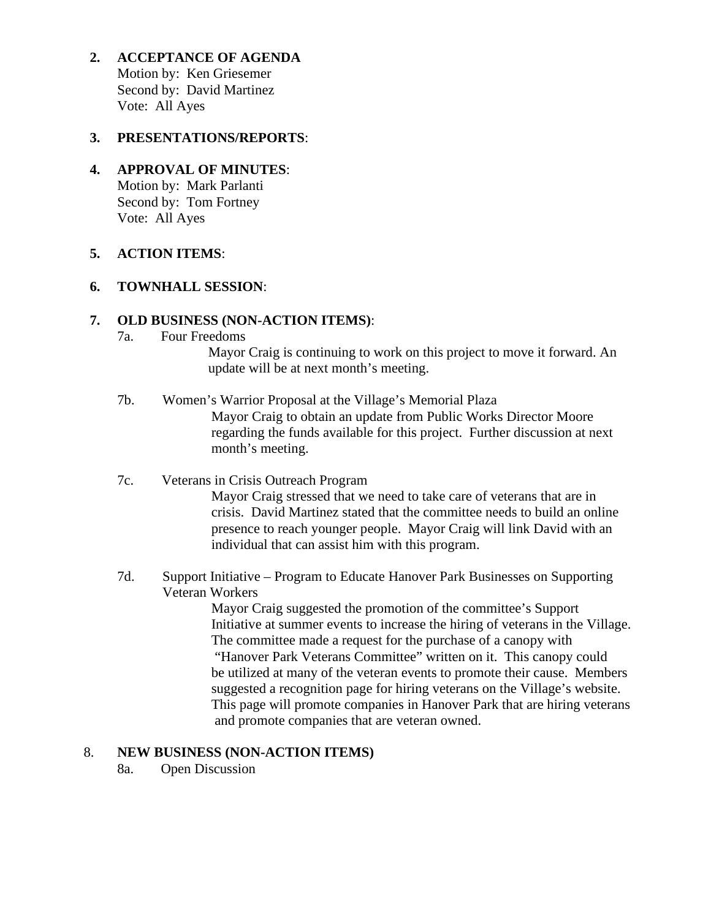**2. ACCEPTANCE OF AGENDA** Motion by: Ken Griesemer Second by: David Martinez Vote: All Ayes

### **3. PRESENTATIONS/REPORTS**:

## **4. APPROVAL OF MINUTES**:

Motion by: Mark Parlanti Second by: Tom Fortney Vote: All Ayes

#### **5. ACTION ITEMS**:

### **6. TOWNHALL SESSION**:

### **7. OLD BUSINESS (NON-ACTION ITEMS)**:

7a. Four Freedoms

 Mayor Craig is continuing to work on this project to move it forward. An update will be at next month's meeting.

- 7b. Women's Warrior Proposal at the Village's Memorial Plaza Mayor Craig to obtain an update from Public Works Director Moore regarding the funds available for this project. Further discussion at next month's meeting.
- 7c. Veterans in Crisis Outreach Program Mayor Craig stressed that we need to take care of veterans that are in crisis. David Martinez stated that the committee needs to build an online presence to reach younger people. Mayor Craig will link David with an individual that can assist him with this program.
- 7d. Support Initiative Program to Educate Hanover Park Businesses on Supporting Veteran Workers

 Mayor Craig suggested the promotion of the committee's Support Initiative at summer events to increase the hiring of veterans in the Village. The committee made a request for the purchase of a canopy with "Hanover Park Veterans Committee" written on it. This canopy could be utilized at many of the veteran events to promote their cause. Members suggested a recognition page for hiring veterans on the Village's website. This page will promote companies in Hanover Park that are hiring veterans and promote companies that are veteran owned.

### 8. **NEW BUSINESS (NON-ACTION ITEMS)**

8a. Open Discussion